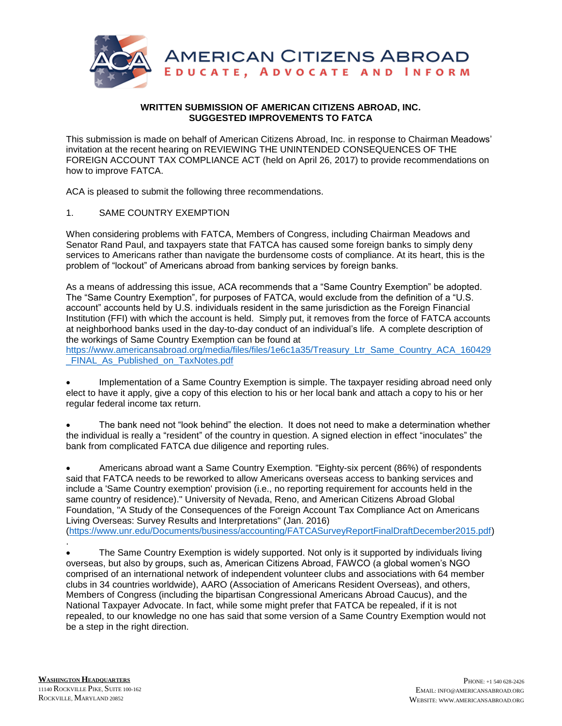

## **WRITTEN SUBMISSION OF AMERICAN CITIZENS ABROAD, INC. SUGGESTED IMPROVEMENTS TO FATCA**

This submission is made on behalf of American Citizens Abroad, Inc. in response to Chairman Meadows' invitation at the recent hearing on REVIEWING THE UNINTENDED CONSEQUENCES OF THE FOREIGN ACCOUNT TAX COMPLIANCE ACT (held on April 26, 2017) to provide recommendations on how to improve FATCA.

ACA is pleased to submit the following three recommendations.

# 1. SAME COUNTRY EXEMPTION

When considering problems with FATCA, Members of Congress, including Chairman Meadows and Senator Rand Paul, and taxpayers state that FATCA has caused some foreign banks to simply deny services to Americans rather than navigate the burdensome costs of compliance. At its heart, this is the problem of "lockout" of Americans abroad from banking services by foreign banks.

As a means of addressing this issue, ACA recommends that a "Same Country Exemption" be adopted. The "Same Country Exemption", for purposes of FATCA, would exclude from the definition of a "U.S. account" accounts held by U.S. individuals resident in the same jurisdiction as the Foreign Financial Institution (FFI) with which the account is held. Simply put, it removes from the force of FATCA accounts at neighborhood banks used in the day-to-day conduct of an individual's life. A complete description of the workings of Same Country Exemption can be found at

[https://www.americansabroad.org/media/files/files/1e6c1a35/Treasury\\_Ltr\\_Same\\_Country\\_ACA\\_160429](https://www.americansabroad.org/media/files/files/1e6c1a35/Treasury_Ltr_Same_Country_ACA_160429_FINAL_As_Published_on_TaxNotes.pdf) FINAL As Published on TaxNotes.pdf

 Implementation of a Same Country Exemption is simple. The taxpayer residing abroad need only elect to have it apply, give a copy of this election to his or her local bank and attach a copy to his or her regular federal income tax return.

 The bank need not "look behind" the election. It does not need to make a determination whether the individual is really a "resident" of the country in question. A signed election in effect "inoculates" the bank from complicated FATCA due diligence and reporting rules.

 Americans abroad want a Same Country Exemption. "Eighty-six percent (86%) of respondents said that FATCA needs to be reworked to allow Americans overseas access to banking services and include a 'Same Country exemption' provision (i.e., no reporting requirement for accounts held in the same country of residence)." University of Nevada, Reno, and American Citizens Abroad Global Foundation, "A Study of the Consequences of the Foreign Account Tax Compliance Act on Americans Living Overseas: Survey Results and Interpretations" (Jan. 2016) [\(https://www.unr.edu/Documents/business/accounting/FATCASurveyReportFinalDraftDecember2015.pdf\)](https://www.unr.edu/Documents/business/accounting/FATCASurveyReportFinalDraftDecember2015.pdf) .

 The Same Country Exemption is widely supported. Not only is it supported by individuals living overseas, but also by groups, such as, American Citizens Abroad, FAWCO (a global women's NGO comprised of an international network of independent volunteer clubs and associations with 64 member clubs in 34 countries worldwide), AARO (Association of Americans Resident Overseas), and others, Members of Congress (including the bipartisan Congressional Americans Abroad Caucus), and the National Taxpayer Advocate. In fact, while some might prefer that FATCA be repealed, if it is not repealed, to our knowledge no one has said that some version of a Same Country Exemption would not be a step in the right direction.